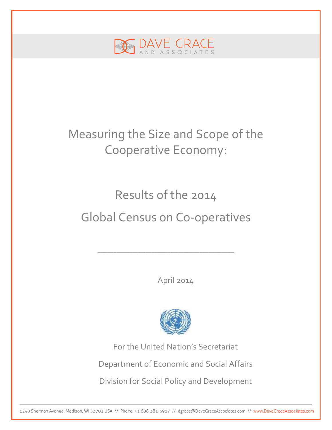

## Measuring the Size and Scope of the Cooperative Economy:

# Results of the 2014 Global Census on Co-operatives

\_\_\_\_\_\_\_\_\_\_\_\_\_\_\_\_\_\_\_\_\_\_\_\_\_\_\_\_\_\_\_\_\_\_\_\_\_\_\_\_\_\_\_

April 2014



For the United Nation's Secretariat Department of Economic and Social Affairs Division for Social Policy and Development

1240 Sherman Avenue, Madison, WI 53703 USA // Phone: +1 608-381-5917 // dgrace@DaveGraceAssociates.com // www.DaveGraceAssociates.com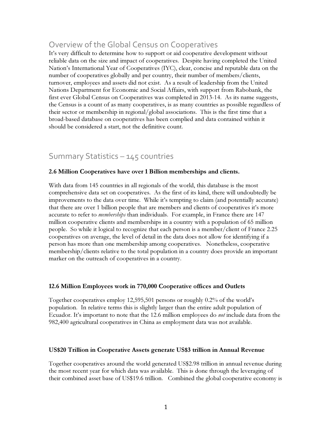## Overview of the Global Census on Cooperatives

It's very difficult to determine how to support or aid cooperative development without reliable data on the size and impact of cooperatives. Despite having completed the United Nation's International Year of Cooperatives (IYC), clear, concise and reputable data on the number of cooperatives globally and per country, their number of members/clients, turnover, employees and assets did not exist. As a result of leadership from the United Nations Department for Economic and Social Affairs, with support from Rabobank, the first ever Global Census on Cooperatives was completed in 2013-14. As its name suggests, the Census is a count of as many cooperatives, is as many countries as possible regardless of their sector or membership in regional/global associations. This is the first time that a broad-based database on cooperatives has been complied and data contained within it should be considered a start, not the definitive count.

## Summary Statistics – 145 countries

#### 2.6 Million Cooperatives have over 1 Billion memberships and clients.

With data from 145 countries in all regionals of the world, this database is the most comprehensive data set on cooperatives. As the first of its kind, there will undoubtedly be improvements to the data over time. While it's tempting to claim (and potentially accurate) that there are over 1 billion people that are members and clients of cooperatives it's more accurate to refer to *memberships* than individuals. For example, in France there are 147 million cooperative clients and memberships in a country with a population of 65 million people. So while it logical to recognize that each person is a member/client of France 2.25 cooperatives on average, the level of detail in the data does not allow for identifying if a person has more than one membership among cooperatives. Nonetheless, cooperative membership/clients relative to the total population in a country does provide an important marker on the outreach of cooperatives in a country.

#### 12.6 Million Employees work in 770,000 Cooperative offices and Outlets

Together cooperatives employ 12,595,501 persons or roughly 0.2% of the world's population. In relative terms this is slightly larger than the entire adult population of Ecuador. It's important to note that the 12.6 million employees do *not* include data from the 982,400 agricultural cooperatives in China as employment data was not available.

#### US\$20 Trillion in Cooperative Assets generate US\$3 trillion in Annual Revenue

Together cooperatives around the world generated US\$2.98 trillion in annual revenue during the most recent year for which data was available. This is done through the leveraging of their combined asset base of US\$19.6 trillion. Combined the global cooperative economy is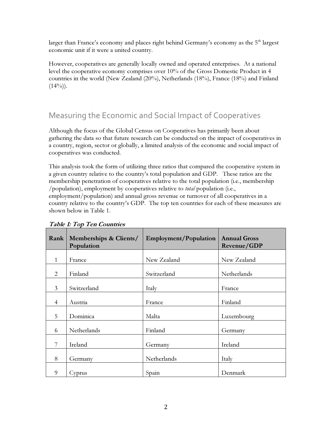larger than France's economy and places right behind Germany's economy as the 5<sup>th</sup> largest economic unit if it were a united country.

However, cooperatives are generally locally owned and operated enterprises. At a national level the cooperative economy comprises over 10% of the Gross Domestic Product in 4 countries in the world (New Zealand (20%), Netherlands (18%), France (18%) and Finland  $(14\%)$ .

## Measuring the Economic and Social Impact of Cooperatives

Although the focus of the Global Census on Cooperatives has primarily been about gathering the data so that future research can be conducted on the impact of cooperatives in a country, region, sector or globally, a limited analysis of the economic and social impact of cooperatives was conducted.

This analysis took the form of utilizing three ratios that compared the cooperative system in a given country relative to the country's total population and GDP. These ratios are the membership penetration of cooperatives relative to the total population (i.e., membership /population), employment by cooperatives relative to total population (i.e.,

employment/population) and annual gross revenue or turnover of all cooperatives in a country relative to the country's GDP. The top ten countries for each of these measures are shown below in Table 1.

| Rank                        | Memberships & Clients/<br>Population | <b>Employment/Population</b> | <b>Annual Gross</b><br>Revenue/GDP |  |
|-----------------------------|--------------------------------------|------------------------------|------------------------------------|--|
| 1                           | France                               | New Zealand                  | New Zealand                        |  |
| $\mathcal{D}_{\mathcal{L}}$ | Finland                              | Switzerland                  | Netherlands                        |  |
| $\overline{3}$              | Switzerland                          | Italy                        | France                             |  |
| $\overline{4}$              | Austria                              | France                       | Finland                            |  |
| 5                           | Dominica                             | Malta                        | Luxembourg                         |  |
| 6                           | Netherlands                          | Finland                      | Germany                            |  |
| 7                           | Ireland                              | Germany                      | Ireland                            |  |
| 8                           | Germany                              | Netherlands                  | Italy                              |  |
| 9                           | Cyprus                               | Spain                        | Denmark                            |  |

#### Table 1: Top Ten Countries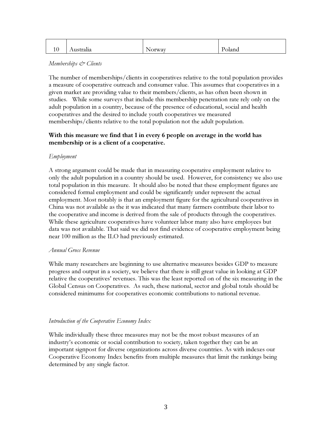| * ∗ | $\sim$ $\sim$<br>Australia | No.<br><i>s</i> orway | Poland |
|-----|----------------------------|-----------------------|--------|

#### Memberships & Clients

The number of memberships/clients in cooperatives relative to the total population provides a measure of cooperative outreach and consumer value. This assumes that cooperatives in a given market are providing value to their members/clients, as has often been shown in studies. While some surveys that include this membership penetration rate rely only on the adult population in a country, because of the presence of educational, social and health cooperatives and the desired to include youth cooperatives we measured memberships/clients relative to the total population not the adult population.

#### With this measure we find that 1 in every 6 people on average in the world has membership or is a client of a cooperative.

#### Employment

A strong argument could be made that in measuring cooperative employment relative to only the adult population in a country should be used. However, for consistency we also use total population in this measure. It should also be noted that these employment figures are considered formal employment and could be significantly under represent the actual employment. Most notably is that an employment figure for the agricultural cooperatives in China was not available as the it was indicated that many farmers contribute their labor to the cooperative and income is derived from the sale of products through the cooperatives. While these agriculture cooperatives have volunteer labor many also have employees but data was not available. That said we did not find evidence of cooperative employment being near 100 million as the ILO had previously estimated.

#### Annual Gross Revenue

While many researchers are beginning to use alternative measures besides GDP to measure progress and output in a society, we believe that there is still great value in looking at GDP relative the cooperatives' revenues. This was the least reported on of the six measuring in the Global Census on Cooperatives. As such, these national, sector and global totals should be considered minimums for cooperatives economic contributions to national revenue.

#### Introduction of the Cooperative Economy Index

While individually these three measures may not be the most robust measures of an industry's economic or social contribution to society, taken together they can be an important signpost for diverse organizations across diverse countries. As with indexes our Cooperative Economy Index benefits from multiple measures that limit the rankings being determined by any single factor.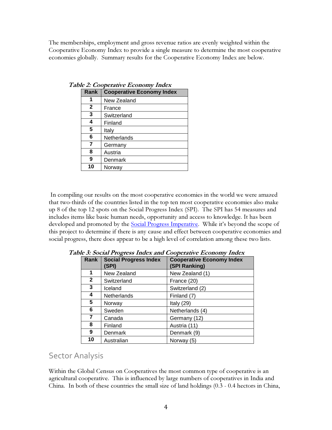The memberships, employment and gross revenue ratios are evenly weighted within the Cooperative Economy Index to provide a single measure to determine the most cooperative economies globally. Summary results for the Cooperative Economy Index are below.

| Rank           | <b>Cooperative Economy Index</b> |
|----------------|----------------------------------|
|                | New Zealand                      |
| $\mathbf{2}$   | France                           |
| 3              | Switzerland                      |
| 4              | Finland                          |
| 5              | Italy                            |
| 6              | Netherlands                      |
| $\overline{7}$ | Germany                          |
| 8              | Austria                          |
| 9              | Denmark                          |
| 10             | Norway                           |

Table 2: Cooperative Economy Index

 In compiling our results on the most cooperative economies in the world we were amazed that two-thirds of the countries listed in the top ten most cooperative economies also make up 8 of the top 12 spots on the Social Progress Index (SPI). The SPI has 54 measures and includes items like basic human needs, opportunity and access to knowledge. It has been developed and promoted by the Social Progress Imperative. While it's beyond the scope of this project to determine if there is any cause and effect between cooperative economies and social progress, there does appear to be a high level of correlation among these two lists.

| Rank         | <b>Social Progress Index</b><br>(SPI) | <b>Cooperative Economy Index</b><br>(SPI Ranking) |  |  |
|--------------|---------------------------------------|---------------------------------------------------|--|--|
| 1            | New Zealand                           | New Zealand (1)                                   |  |  |
| $\mathbf{2}$ | Switzerland                           | France (20)                                       |  |  |
| 3            | Iceland                               | Switzerland (2)                                   |  |  |
| 4            | Netherlands                           | Finland (7)                                       |  |  |
| 5            | Norway                                | Italy $(29)$                                      |  |  |
| 6            | Sweden                                | Netherlands (4)                                   |  |  |
| 7            | Canada                                | Germany (12)                                      |  |  |
| 8            | Finland                               | Austria (11)                                      |  |  |
| 9            | Denmark                               | Denmark (9)                                       |  |  |
| 10           | Australian                            | Norway (5)                                        |  |  |

Table 3: Social Progress Index and Cooperative Economy Index

## Sector Analysis

Within the Global Census on Cooperatives the most common type of cooperative is an agricultural cooperative. This is influenced by large numbers of cooperatives in India and China. In both of these countries the small size of land holdings (0.3 - 0.4 hectors in China,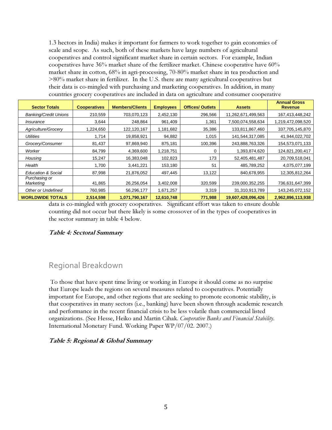1.3 hectors in India) makes it important for farmers to work together to gain economies of scale and scope. As such, both of these markets have large numbers of agricultural cooperatives and control significant market share in certain sectors. For example, Indian cooperatives have  $36\%$  market share of the fertilizer market. Chinese cooperative have  $60\%$ market share in cotton, 68% in agri-processing, 70-80% market share in tea production and >80% market share in fertilizer. In the U.S. there are many agricultural cooperatives but their data is co-mingled with purchasing and marketing cooperatives. In addition, in many countries grocery cooperatives are included in data on agriculture and consumer cooperative

| <b>Sector Totals</b>         | <b>Cooperatives</b> | <b>Members/Clients</b> | <b>Employees</b> | <b>Offices/ Outlets</b> | <b>Assets</b>      | <b>Annual Gross</b><br><b>Revenue</b> |
|------------------------------|---------------------|------------------------|------------------|-------------------------|--------------------|---------------------------------------|
| <b>Banking/Credit Unions</b> | 210,559             | 703,070,123            | 2,452,130        | 296,566                 | 11,262,671,499,563 | 167,413,448,242                       |
| Insurance                    | 3,644               | 248,864                | 961,409          | 1,361                   | 7,500,074,558,634  | 1,219,472,098,520                     |
| Agriculture/Grocery          | 1,224,650           | 122,120,167            | 1,181,682        | 35,386                  | 133,811,867,460    | 337,705,145,870                       |
| <b>Utilities</b>             | 1,714               | 19,858,921             | 94,882           | 1,015                   | 141,544,317,085    | 41,944,022,702                        |
| Grocery/Consumer             | 81,437              | 97,869,940             | 875,181          | 100,396                 | 243,888,763,326    | 154,573,071,133                       |
| Worker                       | 84,799              | 4,369,600              | 1,218,751        | 0                       | 1,393,874,620      | 124,821,200,417                       |
| Housing                      | 15,247              | 16,383,048             | 102,823          | 173                     | 52,405,481,487     | 20,709,518,041                        |
| Health                       | 1,700               | 3,441,221              | 153,180          | 51                      | 485,789,252        | 4,075,077,199                         |
| Education & Social           | 87,998              | 21,876,052             | 497,445          | 13,122                  | 840,678,955        | 12,305,812,264                        |
| Purchasing or<br>Marketing   | 41,865              | 26,256,054             | 3,402,008        | 320,599                 | 239,000,352,255    | 736,631,647,399                       |
| <b>Other or Undefined</b>    | 760,985             | 56,296,177             | 1,671,257        | 3,319                   | 31,310,913,789     | 143,245,072,152                       |
| <b>WORLDWIDE TOTALS</b>      | 2,514,598           | 1,071,790,167          | 12,610,748       | 771,988                 | 19,607,428,096,426 | 2,962,896,113,938                     |

data is co-mingled with grocery cooperatives. Significant effort was taken to ensure double counting did not occur but there likely is some crossover of in the types of cooperatives in the sector summary in table 4 below.

#### Table 4: Sectoral Summary

## Regional Breakdown

 To those that have spent time living or working in Europe it should come as no surprise that Europe leads the regions on several measures related to cooperatives. Potentially important for Europe, and other regions that are seeking to promote economic stability, is that cooperatives in many sectors (i.e., banking) have been shown through academic research and performance in the recent financial crisis to be less volatile than commercial listed organizations. (See Hesse, Heiko and Martin Cihak. Cooperative Banks and Financial Stability. International Monetary Fund. Working Paper WP/07/02. 2007.)

#### Table 5: Regional & Global Summary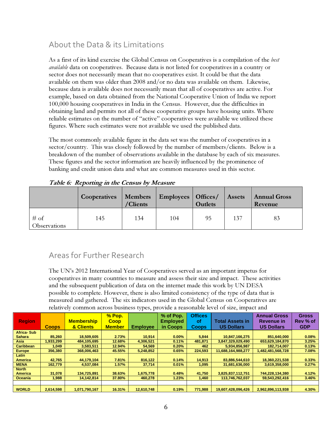## About the Data & its Limitations

As a first of its kind exercise the Global Census on Cooperatives is a compilation of the *best* available data on cooperatives. Because data is not listed for cooperatives in a country or sector does not necessarily mean that no cooperatives exist. It could be that the data available on them was older than 2008 and/or no data was available on them. Likewise, because data is available does not necessarily mean that all of cooperatives are active. For example, based on data obtained from the National Cooperative Union of India we report 100,000 housing cooperatives in India in the Census. However, due the difficulties in obtaining land and permits not all of these cooperative groups have housing units. Where reliable estimates on the number of "active" cooperatives were available we utilized these figures. Where such estimates were not available we used the published data.

The most commonly available figure in the data set was the number of cooperatives in a sector/country. This was closely followed by the number of members/clients. Below is a breakdown of the number of observations available in the database by each of six measures. These figures and the sector information are heavily influenced by the prominence of banking and credit union data and what are common measures used in this sector.

|                        | <b>Cooperatives</b> | <b>Members</b><br>/Clients | <b>Employees</b>   Offices/ | <b>Outlets</b> | <b>Assets</b> | <b>Annual Gross</b><br>Revenue |  |
|------------------------|---------------------|----------------------------|-----------------------------|----------------|---------------|--------------------------------|--|
| $#$ of<br>Observations | 145                 | 134                        | 104                         | 95             | 137           | 83                             |  |

Table 6: Reporting in the Census by Measure

## Areas for Further Research

The UN's 2012 International Year of Cooperatives served as an important impetus for cooperatives in many countries to measure and assess their size and impact. These activities and the subsequent publication of data on the internet made this work by UN DESA possible to complete. However, there is also limited consistency of the type of data that is measured and gathered. The six indicators used in the Global Census on Cooperatives are relatively common across business types, provide a reasonable level of size, impact and

| <b>Region</b>    | <b>Coops</b> | <b>Membership</b><br>& Clients | $%$ Pop.<br><b>Coop</b><br><b>Member</b> | <b>Employee</b> | % of Pop.<br><b>Employed</b><br>in Coops | <b>Offices</b><br>οf<br><b>Coops</b> | Total Assets in<br><b>US Dollars</b> | <b>Annual Gross</b><br>Revenue in<br><b>US Dollars</b> | <b>Gross</b><br>Rev % of<br><b>GDP</b> |
|------------------|--------------|--------------------------------|------------------------------------------|-----------------|------------------------------------------|--------------------------------------|--------------------------------------|--------------------------------------------------------|----------------------------------------|
| Africa-Sub       |              |                                |                                          |                 |                                          |                                      |                                      |                                                        |                                        |
| <b>Sahara</b>    | 85.260       | 18.509.605                     | 2.73%                                    | 10.914          | 0.00%                                    | 5,844                                | 10,847,166,275                       | 851.640.000                                            | 0.08%                                  |
| Asia             | 1,933,299    | 484.105.695                    | 12.68%                                   | 4,306,521       | 0.11%                                    | 481.871                              | 3,847,329,029,490                    | 653,629,184,870                                        | 3.25%                                  |
| <b>Caribbean</b> | 1.049        | 3.583.511                      | 12.94%                                   | 54.569          | 0.20%                                    | 462                                  | 5,934,856,987                        | 182.714.007                                            | 0.13%                                  |
| <b>Europe</b>    | 356,380      | 368,006,463                    | 45.55%                                   | 5,248,852       | 0.65%                                    | 224,593                              | 11,688,164,988,277                   | 1,482,481,568,728                                      | 7.08%                                  |
| Latin            |              |                                |                                          |                 |                                          |                                      |                                      |                                                        |                                        |
| <b>America</b>   | 42.765       | 44.179.104                     | 7.81%                                    | 816.122         | 0.14%                                    | 14,913                               | 83.886.544.610                       | 18,360,221,538                                         | 0.33%                                  |
| <b>MENA</b>      | 162,779      | 4,537,084                      | 1.57%                                    | 37,714          | 0.01%                                    | 1,095                                | 31,681,636,000                       | 3,619,358,000                                          | 0.27%                                  |
| <b>North</b>     |              |                                |                                          |                 |                                          |                                      |                                      |                                                        |                                        |
| <b>America</b>   | 31.078       | 134,725,891                    | 38.63%                                   | 1,675,778       | 0.48%                                    | 41,750                               | 3,825,837,112,751                    | 744,228,134,380                                        | 4.12%                                  |
| <b>Oceania</b>   | 1.988        | 14.142.814                     | 37.80%                                   | 460.278         | 1.23%                                    | 1.460                                | 113,746,762,037                      | 59,543,292,416                                         | 3.46%                                  |
|                  |              |                                |                                          |                 |                                          |                                      |                                      |                                                        |                                        |
| <b>WORLD</b>     | 2,614,598    | 1,071,790,167                  | 16.31%                                   | 12,610,748      | 0.19%                                    | 771,988                              | 19,607,428,096,426                   | 2,962,896,113,938                                      | 4.30%                                  |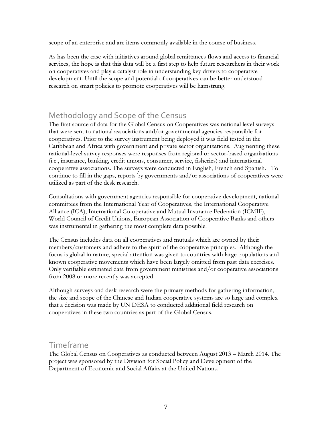scope of an enterprise and are items commonly available in the course of business.

As has been the case with initiatives around global remittances flows and access to financial services, the hope is that this data will be a first step to help future researchers in their work on cooperatives and play a catalyst role in understanding key drivers to cooperative development. Until the scope and potential of cooperatives can be better understood research on smart policies to promote cooperatives will be hamstrung.

## Methodology and Scope of the Census

The first source of data for the Global Census on Cooperatives was national level surveys that were sent to national associations and/or governmental agencies responsible for cooperatives. Prior to the survey instrument being deployed it was field tested in the Caribbean and Africa with government and private sector organizations. Augmenting these national-level survey responses were responses from regional or sector-based organizations (i.e., insurance, banking, credit unions, consumer, service, fisheries) and international cooperative associations. The surveys were conducted in English, French and Spanish. To continue to fill in the gaps, reports by governments and/or associations of cooperatives were utilized as part of the desk research.

Consultations with government agencies responsible for cooperative development, national committees from the International Year of Cooperatives, the International Cooperative Alliance (ICA), International Co-operative and Mutual Insurance Federation (ICMIF), World Council of Credit Unions, European Association of Cooperative Banks and others was instrumental in gathering the most complete data possible.

The Census includes data on all cooperatives and mutuals which are owned by their members/customers and adhere to the spirit of the cooperative principles. Although the focus is global in nature, special attention was given to countries with large populations and known cooperative movements which have been largely omitted from past data exercises. Only verifiable estimated data from government ministries and/or cooperative associations from 2008 or more recently was accepted.

Although surveys and desk research were the primary methods for gathering information, the size and scope of the Chinese and Indian cooperative systems are so large and complex that a decision was made by UN DESA to conducted additional field research on cooperatives in these two countries as part of the Global Census.

### Timeframe

The Global Census on Cooperatives as conducted between August 2013 – March 2014. The project was sponsored by the Division for Social Policy and Development of the Department of Economic and Social Affairs at the United Nations.